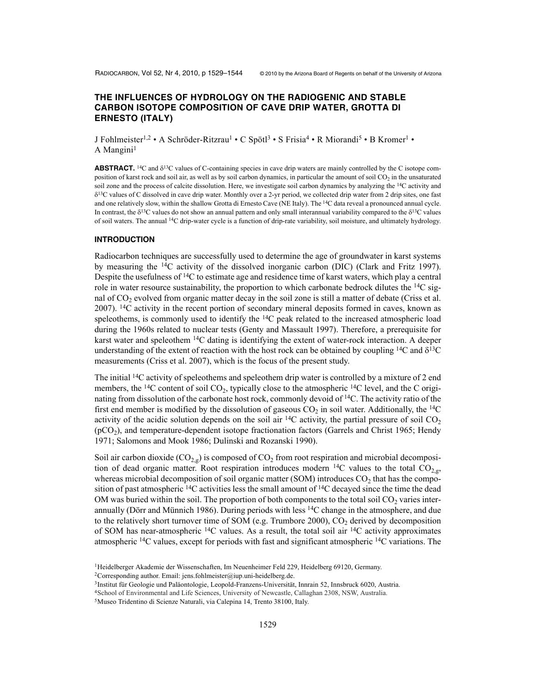# **THE INFLUENCES OF HYDROLOGY ON THE RADIOGENIC AND STABLE CARBON ISOTOPE COMPOSITION OF CAVE DRIP WATER, GROTTA DI ERNESTO (ITALY)**

J Fohlmeister<sup>1,2</sup> • A Schröder-Ritzrau<sup>1</sup> • C Spötl<sup>3</sup> • S Frisia<sup>4</sup> • R Miorandi<sup>5</sup> • B Kromer<sup>1</sup> • A Mangini $<sup>1</sup>$ </sup>

**ABSTRACT.** <sup>14</sup>C and  $\delta$ <sup>13</sup>C values of C-containing species in cave drip waters are mainly controlled by the C isotope composition of karst rock and soil air, as well as by soil carbon dynamics, in particular the amount of soil  $CO<sub>2</sub>$  in the unsaturated soil zone and the process of calcite dissolution. Here, we investigate soil carbon dynamics by analyzing the <sup>14</sup>C activity and  $\delta^{13}$ C values of C dissolved in cave drip water. Monthly over a 2-yr period, we collected drip water from 2 drip sites, one fast and one relatively slow, within the shallow Grotta di Ernesto Cave (NE Italy). The <sup>14</sup>C data reveal a pronounced annual cycle. In contrast, the  $\delta^{13}$ C values do not show an annual pattern and only small interannual variability compared to the  $\delta^{13}$ C values of soil waters. The annual 14C drip-water cycle is a function of drip-rate variability, soil moisture, and ultimately hydrology.

#### **INTRODUCTION**

Radiocarbon techniques are successfully used to determine the age of groundwater in karst systems by measuring the 14C activity of the dissolved inorganic carbon (DIC) (Clark and Fritz 1997). Despite the usefulness of <sup>14</sup>C to estimate age and residence time of karst waters, which play a central role in water resource sustainability, the proportion to which carbonate bedrock dilutes the  $14C$  signal of  $CO<sub>2</sub>$  evolved from organic matter decay in the soil zone is still a matter of debate (Criss et al. 2007). 14C activity in the recent portion of secondary mineral deposits formed in caves, known as speleothems, is commonly used to identify the  $14C$  peak related to the increased atmospheric load during the 1960s related to nuclear tests (Genty and Massault 1997). Therefore, a prerequisite for karst water and speleothem <sup>14</sup>C dating is identifying the extent of water-rock interaction. A deeper understanding of the extent of reaction with the host rock can be obtained by coupling <sup>14</sup>C and  $\delta^{13}$ C measurements (Criss et al. 2007), which is the focus of the present study.

The initial <sup>14</sup>C activity of speleothems and speleothem drip water is controlled by a mixture of 2 end members, the <sup>14</sup>C content of soil CO<sub>2</sub>, typically close to the atmospheric <sup>14</sup>C level, and the C originating from dissolution of the carbonate host rock, commonly devoid of <sup>14</sup>C. The activity ratio of the first end member is modified by the dissolution of gaseous  $CO<sub>2</sub>$  in soil water. Additionally, the <sup>14</sup>C activity of the acidic solution depends on the soil air  ${}^{14}C$  activity, the partial pressure of soil  $CO<sub>2</sub>$ (pCO2), and temperature-dependent isotope fractionation factors (Garrels and Christ 1965; Hendy 1971; Salomons and Mook 1986; Dulinski and Rozanski 1990).

Soil air carbon dioxide ( $CO<sub>2g</sub>$ ) is composed of  $CO<sub>2</sub>$  from root respiration and microbial decomposition of dead organic matter. Root respiration introduces modern <sup>14</sup>C values to the total  $CO<sub>2</sub>$ , whereas microbial decomposition of soil organic matter (SOM) introduces  $CO<sub>2</sub>$  that has the composition of past atmospheric  $^{14}C$  activities less the small amount of  $^{14}C$  decayed since the time the dead OM was buried within the soil. The proportion of both components to the total soil  $CO<sub>2</sub>$  varies interannually (Dörr and Münnich 1986). During periods with less  $14C$  change in the atmosphere, and due to the relatively short turnover time of SOM (e.g. Trumbore 2000),  $CO<sub>2</sub>$  derived by decomposition of SOM has near-atmospheric  $^{14}$ C values. As a result, the total soil air  $^{14}$ C activity approximates atmospheric 14C values, except for periods with fast and significant atmospheric 14C variations. The

<sup>1</sup>Heidelberger Akademie der Wissenschaften, Im Neuenheimer Feld 229, Heidelberg 69120, Germany.

<sup>&</sup>lt;sup>2</sup>Corresponding author. Email: jens.fohlmeister@iup.uni-heidelberg.de.

<sup>3</sup>Institut für Geologie und Paläontologie, Leopold-Franzens-Universität, Innrain 52, Innsbruck 6020, Austria.

<sup>4</sup>School of Environmental and Life Sciences, University of Newcastle, Callaghan 2308, NSW, Australia.

<sup>5</sup>Museo Tridentino di Scienze Naturali, via Calepina 14, Trento 38100, Italy.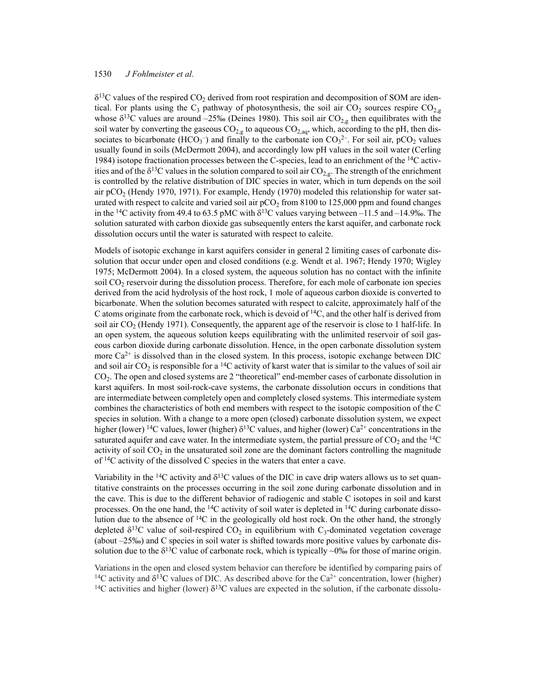$\delta^{13}$ C values of the respired CO<sub>2</sub> derived from root respiration and decomposition of SOM are identical. For plants using the C<sub>3</sub> pathway of photosynthesis, the soil air CO<sub>2</sub> sources respire CO<sub>2,g</sub> whose  $\delta^{13}$ C values are around –25‰ (Deines 1980). This soil air CO<sub>2,g</sub> then equilibrates with the soil water by converting the gaseous  $CO_{2,g}$  to aqueous  $CO_{2,aq}$ , which, according to the pH, then dissociates to bicarbonate (HCO<sub>3</sub><sup>-</sup>) and finally to the carbonate ion  $CO<sub>3</sub><sup>2</sup>$ . For soil air, pCO<sub>2</sub> values usually found in soils (McDermott 2004), and accordingly low pH values in the soil water (Cerling 1984) isotope fractionation processes between the C-species, lead to an enrichment of the 14C activities and of the  $\delta^{13}C$  values in the solution compared to soil air  $CO_{2,g}$ . The strength of the enrichment is controlled by the relative distribution of DIC species in water, which in turn depends on the soil air  $pCO<sub>2</sub>$  (Hendy 1970, 1971). For example, Hendy (1970) modeled this relationship for water saturated with respect to calcite and varied soil air  $pCO<sub>2</sub>$  from 8100 to 125,000 ppm and found changes in the <sup>14</sup>C activity from 49.4 to 63.5 pMC with  $\delta^{13}$ C values varying between –11.5 and –14.9‰. The solution saturated with carbon dioxide gas subsequently enters the karst aquifer, and carbonate rock dissolution occurs until the water is saturated with respect to calcite.

Models of isotopic exchange in karst aquifers consider in general 2 limiting cases of carbonate dissolution that occur under open and closed conditions (e.g. Wendt et al. 1967; Hendy 1970; Wigley 1975; McDermott 2004). In a closed system, the aqueous solution has no contact with the infinite soil CO<sub>2</sub> reservoir during the dissolution process. Therefore, for each mole of carbonate ion species derived from the acid hydrolysis of the host rock, 1 mole of aqueous carbon dioxide is converted to bicarbonate. When the solution becomes saturated with respect to calcite, approximately half of the C atoms originate from the carbonate rock, which is devoid of  $14C$ , and the other half is derived from soil air  $CO<sub>2</sub>$  (Hendy 1971). Consequently, the apparent age of the reservoir is close to 1 half-life. In an open system, the aqueous solution keeps equilibrating with the unlimited reservoir of soil gaseous carbon dioxide during carbonate dissolution. Hence, in the open carbonate dissolution system more  $Ca<sup>2+</sup>$  is dissolved than in the closed system. In this process, isotopic exchange between DIC and soil air  $CO<sub>2</sub>$  is responsible for a <sup>14</sup>C activity of karst water that is similar to the values of soil air CO2. The open and closed systems are 2 "theoretical" end-member cases of carbonate dissolution in karst aquifers. In most soil-rock-cave systems, the carbonate dissolution occurs in conditions that are intermediate between completely open and completely closed systems. This intermediate system combines the characteristics of both end members with respect to the isotopic composition of the C species in solution. With a change to a more open (closed) carbonate dissolution system, we expect higher (lower) <sup>14</sup>C values, lower (higher)  $\delta^{13}$ C values, and higher (lower) Ca<sup>2+</sup> concentrations in the saturated aquifer and cave water. In the intermediate system, the partial pressure of  $CO<sub>2</sub>$  and the <sup>14</sup>C activity of soil  $CO<sub>2</sub>$  in the unsaturated soil zone are the dominant factors controlling the magnitude of  ${}^{14}C$  activity of the dissolved C species in the waters that enter a cave.

Variability in the <sup>14</sup>C activity and  $\delta^{13}$ C values of the DIC in cave drip waters allows us to set quantitative constraints on the processes occurring in the soil zone during carbonate dissolution and in the cave. This is due to the different behavior of radiogenic and stable C isotopes in soil and karst processes. On the one hand, the  $14C$  activity of soil water is depleted in  $14C$  during carbonate dissolution due to the absence of <sup>14</sup>C in the geologically old host rock. On the other hand, the strongly depleted  $\delta^{13}$ C value of soil-respired CO<sub>2</sub> in equilibrium with C<sub>3</sub>-dominated vegetation coverage (about –25‰) and C species in soil water is shifted towards more positive values by carbonate dissolution due to the  $\delta^{13}C$  value of carbonate rock, which is typically ~0‰ for those of marine origin.

Variations in the open and closed system behavior can therefore be identified by comparing pairs of <sup>14</sup>C activity and  $\delta^{13}$ C values of DIC. As described above for the Ca<sup>2+</sup> concentration, lower (higher) <sup>14</sup>C activities and higher (lower)  $\delta^{13}$ C values are expected in the solution, if the carbonate dissolu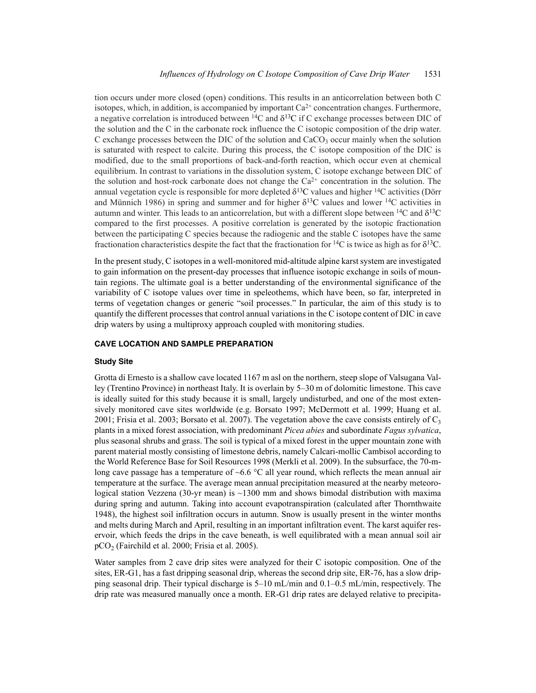tion occurs under more closed (open) conditions. This results in an anticorrelation between both C isotopes, which, in addition, is accompanied by important  $Ca^{2+}$  concentration changes. Furthermore, a negative correlation is introduced between  $^{14}C$  and  $\delta^{13}C$  if C exchange processes between DIC of the solution and the C in the carbonate rock influence the C isotopic composition of the drip water. C exchange processes between the DIC of the solution and  $CaCO<sub>3</sub>$  occur mainly when the solution is saturated with respect to calcite. During this process, the C isotope composition of the DIC is modified, due to the small proportions of back-and-forth reaction, which occur even at chemical equilibrium. In contrast to variations in the dissolution system, C isotope exchange between DIC of the solution and host-rock carbonate does not change the  $Ca^{2+}$  concentration in the solution. The annual vegetation cycle is responsible for more depleted  $\delta^{13}C$  values and higher <sup>14</sup>C activities (Dörr and Münnich 1986) in spring and summer and for higher  $\delta^{13}C$  values and lower <sup>14</sup>C activities in autumn and winter. This leads to an anticorrelation, but with a different slope between  $^{14}C$  and  $\delta^{13}C$ compared to the first processes. A positive correlation is generated by the isotopic fractionation between the participating C species because the radiogenic and the stable C isotopes have the same fractionation characteristics despite the fact that the fractionation for <sup>14</sup>C is twice as high as for  $\delta^{13}C$ .

In the present study, C isotopes in a well-monitored mid-altitude alpine karst system are investigated to gain information on the present-day processes that influence isotopic exchange in soils of mountain regions. The ultimate goal is a better understanding of the environmental significance of the variability of C isotope values over time in speleothems, which have been, so far, interpreted in terms of vegetation changes or generic "soil processes." In particular, the aim of this study is to quantify the different processes that control annual variations in the C isotope content of DIC in cave drip waters by using a multiproxy approach coupled with monitoring studies.

#### **CAVE LOCATION AND SAMPLE PREPARATION**

#### **Study Site**

Grotta di Ernesto is a shallow cave located 1167 m asl on the northern, steep slope of Valsugana Valley (Trentino Province) in northeast Italy. It is overlain by 5–30 m of dolomitic limestone. This cave is ideally suited for this study because it is small, largely undisturbed, and one of the most extensively monitored cave sites worldwide (e.g. Borsato 1997; McDermott et al. 1999; Huang et al. 2001; Frisia et al. 2003; Borsato et al. 2007). The vegetation above the cave consists entirely of  $C_3$ plants in a mixed forest association, with predominant *Picea abies* and subordinate *Fagus sylvatica*, plus seasonal shrubs and grass. The soil is typical of a mixed forest in the upper mountain zone with parent material mostly consisting of limestone debris, namely Calcari-mollic Cambisol according to the World Reference Base for Soil Resources 1998 (Merkli et al. 2009). In the subsurface, the 70-mlong cave passage has a temperature of  $~6.6$  °C all year round, which reflects the mean annual air temperature at the surface. The average mean annual precipitation measured at the nearby meteorological station Vezzena (30-yr mean) is  $\sim$ 1300 mm and shows bimodal distribution with maxima during spring and autumn. Taking into account evapotranspiration (calculated after Thornthwaite 1948), the highest soil infiltration occurs in autumn. Snow is usually present in the winter months and melts during March and April, resulting in an important infiltration event. The karst aquifer reservoir, which feeds the drips in the cave beneath, is well equilibrated with a mean annual soil air  $pCO<sub>2</sub>$  (Fairchild et al. 2000; Frisia et al. 2005).

Water samples from 2 cave drip sites were analyzed for their C isotopic composition. One of the sites, ER-G1, has a fast dripping seasonal drip, whereas the second drip site, ER-76, has a slow dripping seasonal drip. Their typical discharge is 5–10 mL/min and 0.1–0.5 mL/min, respectively. The drip rate was measured manually once a month. ER-G1 drip rates are delayed relative to precipita-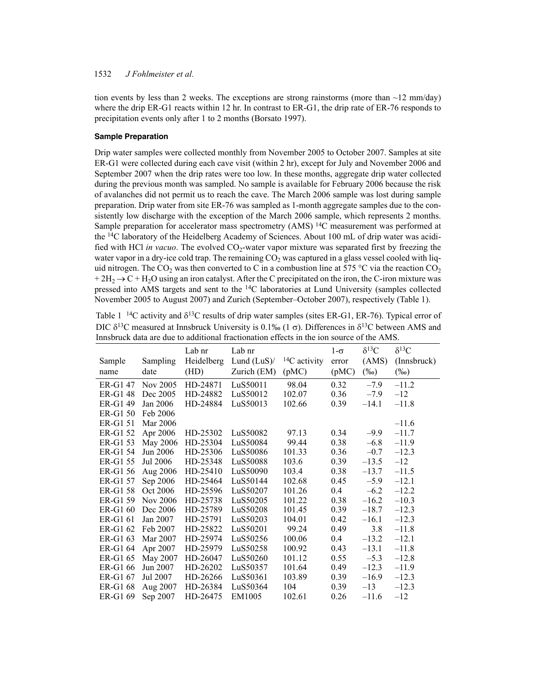tion events by less than 2 weeks. The exceptions are strong rainstorms (more than  $\sim$ 12 mm/day) where the drip ER-G1 reacts within 12 hr. In contrast to ER-G1, the drip rate of ER-76 responds to precipitation events only after 1 to 2 months (Borsato 1997).

#### **Sample Preparation**

Drip water samples were collected monthly from November 2005 to October 2007. Samples at site ER-G1 were collected during each cave visit (within 2 hr), except for July and November 2006 and September 2007 when the drip rates were too low. In these months, aggregate drip water collected during the previous month was sampled. No sample is available for February 2006 because the risk of avalanches did not permit us to reach the cave. The March 2006 sample was lost during sample preparation. Drip water from site ER-76 was sampled as 1-month aggregate samples due to the consistently low discharge with the exception of the March 2006 sample, which represents 2 months. Sample preparation for accelerator mass spectrometry (AMS)<sup>14</sup>C measurement was performed at the 14C laboratory of the Heidelberg Academy of Sciences. About 100 mL of drip water was acidified with HCl *in vacuo*. The evolved CO<sub>2</sub>-water vapor mixture was separated first by freezing the water vapor in a dry-ice cold trap. The remaining  $CO<sub>2</sub>$  was captured in a glass vessel cooled with liquid nitrogen. The CO<sub>2</sub> was then converted to C in a combustion line at 575 °C via the reaction CO<sub>2</sub>  $+ 2H<sub>2</sub> \rightarrow C + H<sub>2</sub>O$  using an iron catalyst. After the C precipitated on the iron, the C-iron mixture was pressed into AMS targets and sent to the <sup>14</sup>C laboratories at Lund University (samples collected November 2005 to August 2007) and Zurich (September–October 2007), respectively (Table 1).

| Table 1 <sup>-14</sup> C activity and $\delta^{13}$ C results of drip water samples (sites ER-G1, ER-76). Typical error of |
|----------------------------------------------------------------------------------------------------------------------------|
| DIC $\delta^{13}$ C measured at Innsbruck University is 0.1‰ (1 $\sigma$ ). Differences in $\delta^{13}$ C between AMS and |
| Innsbruck data are due to additional fractionation effects in the ion source of the AMS.                                   |

|          |          | Lab nr     | Lab nr         |                     | $1-\sigma$ | $\delta^{13}C$ | $\delta^{13}C$ |
|----------|----------|------------|----------------|---------------------|------------|----------------|----------------|
| Sample   | Sampling | Heidelberg | Lund $(LuS)$ / | ${}^{14}C$ activity | error      | (AMS)          | (Innsbruck)    |
| name     | date     | (HD)       | Zurich (EM)    | (pMC)               | (pMC)      | $(\%0)$        | $(\%0)$        |
| ER-G1 47 | Nov 2005 | HD-24871   | LuS50011       | 98.04               | 0.32       | $-7.9$         | $-11.2$        |
| ER-G1 48 | Dec 2005 | HD-24882   | LuS50012       | 102.07              | 0.36       | $-7.9$         | $-12$          |
| ER-G1 49 | Jan 2006 | HD-24884   | LuS50013       | 102.66              | 0.39       | $-14.1$        | $-11.8$        |
| ER-G1 50 | Feb 2006 |            |                |                     |            |                |                |
| ER-G1 51 | Mar 2006 |            |                |                     |            |                | $-11.6$        |
| ER-G1 52 | Apr 2006 | HD-25302   | LuS50082       | 97.13               | 0.34       | $-9.9$         | $-11.7$        |
| ER-G1 53 | May 2006 | HD-25304   | LuS50084       | 99.44               | 0.38       | $-6.8$         | $-11.9$        |
| ER-G1 54 | Jun 2006 | HD-25306   | LuS50086       | 101.33              | 0.36       | $-0.7$         | $-12.3$        |
| ER-G1 55 | Jul 2006 | HD-25348   | LuS50088       | 103.6               | 0.39       | $-13.5$        | $-12$          |
| ER-G1 56 | Aug 2006 | HD-25410   | LuS50090       | 103.4               | 0.38       | $-13.7$        | $-11.5$        |
| ER-G1 57 | Sep 2006 | HD-25464   | LuS50144       | 102.68              | 0.45       | $-5.9$         | $-12.1$        |
| ER-G1 58 | Oct 2006 | HD-25596   | LuS50207       | 101.26              | 0.4        | $-6.2$         | $-12.2$        |
| ER-G1 59 | Nov 2006 | HD-25738   | LuS50205       | 101.22              | 0.38       | $-16.2$        | $-10.3$        |
| ER-G1 60 | Dec 2006 | HD-25789   | LuS50208       | 101.45              | 0.39       | $-18.7$        | $-12.3$        |
| ER-G1 61 | Jan 2007 | HD-25791   | LuS50203       | 104.01              | 0.42       | $-16.1$        | $-12.3$        |
| ER-G1 62 | Feb 2007 | HD-25822   | LuS50201       | 99.24               | 0.49       | 3.8            | $-11.8$        |
| ER-G1 63 | Mar 2007 | HD-25974   | LuS50256       | 100.06              | 0.4        | $-13.2$        | $-12.1$        |
| ER-G1 64 | Apr 2007 | HD-25979   | LuS50258       | 100.92              | 0.43       | $-13.1$        | $-11.8$        |
| ER-G1 65 | May 2007 | HD-26047   | LuS50260       | 101.12              | 0.55       | $-5.3$         | $-12.8$        |
| ER-G1 66 | Jun 2007 | HD-26202   | LuS50357       | 101.64              | 0.49       | $-12.3$        | $-11.9$        |
| ER-G1 67 | Jul 2007 | HD-26266   | LuS50361       | 103.89              | 0.39       | $-16.9$        | $-12.3$        |
| ER-G1 68 | Aug 2007 | HD-26384   | LuS50364       | 104                 | 0.39       | $-13$          | $-12.3$        |
| ER-G1 69 | Sep 2007 | HD-26475   | EM1005         | 102.61              | 0.26       | $-11.6$        | $-12$          |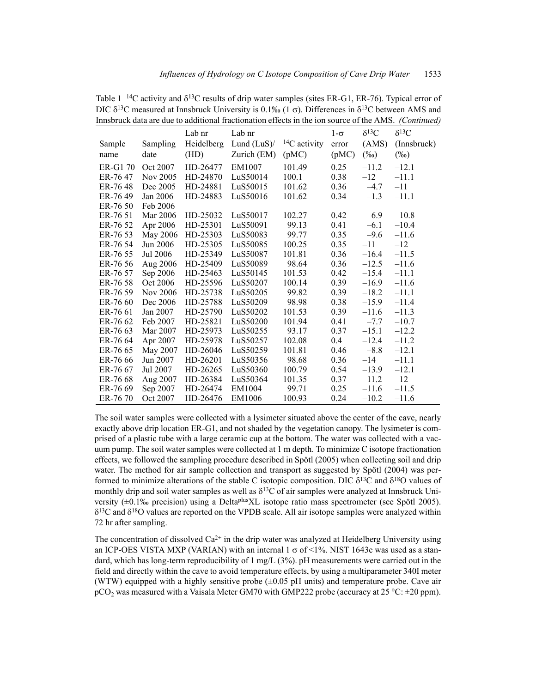|          |          | Lab nr     | Lab nr         |                     | $1-\sigma$ | $\delta^{13}C$ | $\delta^{13}C$ |
|----------|----------|------------|----------------|---------------------|------------|----------------|----------------|
| Sample   | Sampling | Heidelberg | Lund $(LuS)$ / | ${}^{14}C$ activity | error      | (AMS)          | (Innsbruck)    |
| name     | date     | (HD)       | Zurich (EM)    | (pMC)               | (pMC)      | $(\%0)$        | $(\%0)$        |
| ER-G1 70 | Oct 2007 | HD-26477   | EM1007         | 101.49              | 0.25       | $-11.2$        | $-12.1$        |
| ER-76 47 | Nov 2005 | HD-24870   | LuS50014       | 100.1               | 0.38       | $-12$          | $-11.1$        |
| ER-76 48 | Dec 2005 | HD-24881   | LuS50015       | 101.62              | 0.36       | $-4.7$         | $-11$          |
| ER-76 49 | Jan 2006 | HD-24883   | LuS50016       | 101.62              | 0.34       | $-1.3$         | $-11.1$        |
| ER-76 50 | Feb 2006 |            |                |                     |            |                |                |
| ER-76 51 | Mar 2006 | HD-25032   | LuS50017       | 102.27              | 0.42       | $-6.9$         | $-10.8$        |
| ER-76 52 | Apr 2006 | HD-25301   | LuS50091       | 99.13               | 0.41       | $-6.1$         | $-10.4$        |
| ER-76 53 | May 2006 | HD-25303   | LuS50083       | 99.77               | 0.35       | $-9.6$         | $-11.6$        |
| ER-76 54 | Jun 2006 | HD-25305   | LuS50085       | 100.25              | 0.35       | $-11$          | $-12$          |
| ER-76 55 | Jul 2006 | HD-25349   | LuS50087       | 101.81              | 0.36       | $-16.4$        | $-11.5$        |
| ER-76 56 | Aug 2006 | HD-25409   | LuS50089       | 98.64               | 0.36       | $-12.5$        | $-11.6$        |
| ER-76 57 | Sep 2006 | HD-25463   | LuS50145       | 101.53              | 0.42       | $-15.4$        | $-11.1$        |
| ER-76 58 | Oct 2006 | HD-25596   | LuS50207       | 100.14              | 0.39       | $-16.9$        | $-11.6$        |
| ER-76 59 | Nov 2006 | HD-25738   | LuS50205       | 99.82               | 0.39       | $-18.2$        | $-11.1$        |
| ER-76 60 | Dec 2006 | HD-25788   | LuS50209       | 98.98               | 0.38       | $-15.9$        | $-11.4$        |
| ER-76 61 | Jan 2007 | HD-25790   | LuS50202       | 101.53              | 0.39       | $-11.6$        | $-11.3$        |
| ER-76 62 | Feb 2007 | HD-25821   | LuS50200       | 101.94              | 0.41       | $-7.7$         | $-10.7$        |
| ER-76 63 | Mar 2007 | HD-25973   | LuS50255       | 93.17               | 0.37       | $-15.1$        | $-12.2$        |
| ER-76 64 | Apr 2007 | HD-25978   | LuS50257       | 102.08              | 0.4        | $-12.4$        | $-11.2$        |
| ER-76 65 | May 2007 | HD-26046   | LuS50259       | 101.81              | 0.46       | $-8.8$         | $-12.1$        |
| ER-76 66 | Jun 2007 | HD-26201   | LuS50356       | 98.68               | 0.36       | $-14$          | $-11.1$        |
| ER-76 67 | Jul 2007 | HD-26265   | LuS50360       | 100.79              | 0.54       | $-13.9$        | $-12.1$        |
| ER-76 68 | Aug 2007 | HD-26384   | LuS50364       | 101.35              | 0.37       | $-11.2$        | $-12$          |
| ER-76 69 | Sep 2007 | HD-26474   | EM1004         | 99.71               | 0.25       | $-11.6$        | $-11.5$        |
| ER-76 70 | Oct 2007 | HD-26476   | EM1006         | 100.93              | 0.24       | $-10.2$        | $-11.6$        |

Table 1  $^{14}$ C activity and  $\delta^{13}$ C results of drip water samples (sites ER-G1, ER-76). Typical error of DIC  $\delta^{13}$ C measured at Innsbruck University is 0.1‰ (1  $\sigma$ ). Differences in  $\delta^{13}$ C between AMS and Innsbruck data are due to additional fractionation effects in the ion source of the AMS. *(Continued)*

The soil water samples were collected with a lysimeter situated above the center of the cave, nearly exactly above drip location ER-G1, and not shaded by the vegetation canopy. The lysimeter is comprised of a plastic tube with a large ceramic cup at the bottom. The water was collected with a vacuum pump. The soil water samples were collected at 1 m depth. To minimize C isotope fractionation effects, we followed the sampling procedure described in Spötl (2005) when collecting soil and drip water. The method for air sample collection and transport as suggested by Spötl (2004) was performed to minimize alterations of the stable C isotopic composition. DIC  $\delta^{13}$ C and  $\delta^{18}$ O values of monthly drip and soil water samples as well as  $\delta^{13}$ C of air samples were analyzed at Innsbruck University (±0.1‰ precision) using a DeltaplusXL isotope ratio mass spectrometer (see Spötl 2005).  $\delta^{13}$ C and  $\delta^{18}$ O values are reported on the VPDB scale. All air isotope samples were analyzed within 72 hr after sampling.

The concentration of dissolved  $Ca^{2+}$  in the drip water was analyzed at Heidelberg University using an ICP-OES VISTA MXP (VARIAN) with an internal  $1 \sigma$  of <1%. NIST 1643e was used as a standard, which has long-term reproducibility of 1 mg/L (3%). pH measurements were carried out in the field and directly within the cave to avoid temperature effects, by using a multiparameter 340I meter (WTW) equipped with a highly sensitive probe  $(\pm 0.05 \text{ pH units})$  and temperature probe. Cave air pCO<sub>2</sub> was measured with a Vaisala Meter GM70 with GMP222 probe (accuracy at 25 °C:  $\pm$ 20 ppm).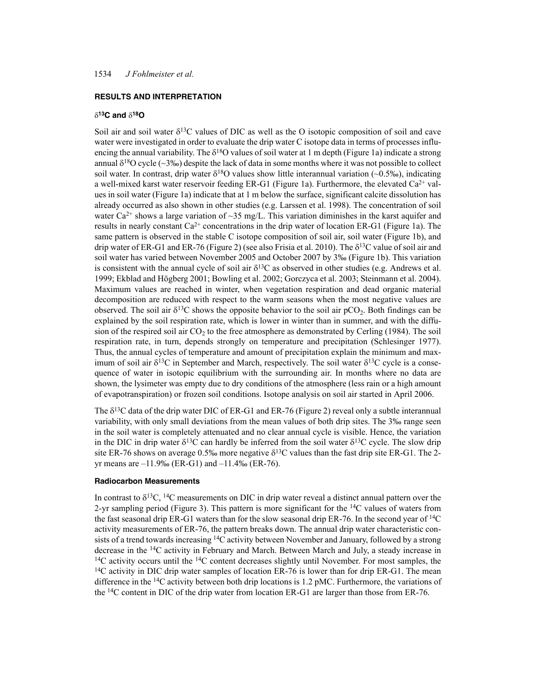### **RESULTS AND INTERPRETATION**

### **13C and 18O**

Soil air and soil water  $\delta^{13}C$  values of DIC as well as the O isotopic composition of soil and cave water were investigated in order to evaluate the drip water C isotope data in terms of processes influencing the annual variability. The  $\delta^{18}O$  values of soil water at 1 m depth (Figure 1a) indicate a strong annual  $\delta^{18}$ O cycle (~3‰) despite the lack of data in some months where it was not possible to collect soil water. In contrast, drip water  $\delta^{18}$ O values show little interannual variation (~0.5‰), indicating a well-mixed karst water reservoir feeding ER-G1 (Figure 1a). Furthermore, the elevated  $Ca^{2+}$  values in soil water (Figure 1a) indicate that at 1 m below the surface, significant calcite dissolution has already occurred as also shown in other studies (e.g. Larssen et al. 1998). The concentration of soil water Ca<sup>2+</sup> shows a large variation of  $\sim$ 35 mg/L. This variation diminishes in the karst aquifer and results in nearly constant  $Ca^{2+}$  concentrations in the drip water of location ER-G1 (Figure 1a). The same pattern is observed in the stable C isotope composition of soil air, soil water (Figure 1b), and drip water of ER-G1 and ER-76 (Figure 2) (see also Frisia et al. 2010). The  $\delta^{13}$ C value of soil air and soil water has varied between November 2005 and October 2007 by 3‰ (Figure 1b). This variation is consistent with the annual cycle of soil air  $\delta^{13}C$  as observed in other studies (e.g. Andrews et al. 1999; Ekblad and Högberg 2001; Bowling et al. 2002; Gorczyca et al. 2003; Steinmann et al. 2004). Maximum values are reached in winter, when vegetation respiration and dead organic material decomposition are reduced with respect to the warm seasons when the most negative values are observed. The soil air  $\delta^{13}C$  shows the opposite behavior to the soil air pCO<sub>2</sub>. Both findings can be explained by the soil respiration rate, which is lower in winter than in summer, and with the diffusion of the respired soil air  $CO<sub>2</sub>$  to the free atmosphere as demonstrated by Cerling (1984). The soil respiration rate, in turn, depends strongly on temperature and precipitation (Schlesinger 1977). Thus, the annual cycles of temperature and amount of precipitation explain the minimum and maximum of soil air  $\delta^{13}C$  in September and March, respectively. The soil water  $\delta^{13}C$  cycle is a consequence of water in isotopic equilibrium with the surrounding air. In months where no data are shown, the lysimeter was empty due to dry conditions of the atmosphere (less rain or a high amount of evapotranspiration) or frozen soil conditions. Isotope analysis on soil air started in April 2006.

The  $\delta^{13}$ C data of the drip water DIC of ER-G1 and ER-76 (Figure 2) reveal only a subtle interannual variability, with only small deviations from the mean values of both drip sites. The 3‰ range seen in the soil water is completely attenuated and no clear annual cycle is visible. Hence, the variation in the DIC in drip water  $\delta^{13}C$  can hardly be inferred from the soil water  $\delta^{13}C$  cycle. The slow drip site ER-76 shows on average 0.5‰ more negative  $\delta^{13}$ C values than the fast drip site ER-G1. The 2yr means are –11.9‰ (ER-G1) and –11.4‰ (ER-76).

#### **Radiocarbon Measurements**

In contrast to  $\delta^{13}C$ , <sup>14</sup>C measurements on DIC in drip water reveal a distinct annual pattern over the 2-yr sampling period (Figure 3). This pattern is more significant for the  ${}^{14}C$  values of waters from the fast seasonal drip ER-G1 waters than for the slow seasonal drip ER-76. In the second year of 14C activity measurements of ER-76, the pattern breaks down. The annual drip water characteristic consists of a trend towards increasing <sup>14</sup>C activity between November and January, followed by a strong decrease in the 14C activity in February and March. Between March and July, a steady increase in  $14C$  activity occurs until the  $14C$  content decreases slightly until November. For most samples, the  $14C$  activity in DIC drip water samples of location ER-76 is lower than for drip ER-G1. The mean difference in the 14C activity between both drip locations is 1.2 pMC. Furthermore, the variations of the 14C content in DIC of the drip water from location ER-G1 are larger than those from ER-76.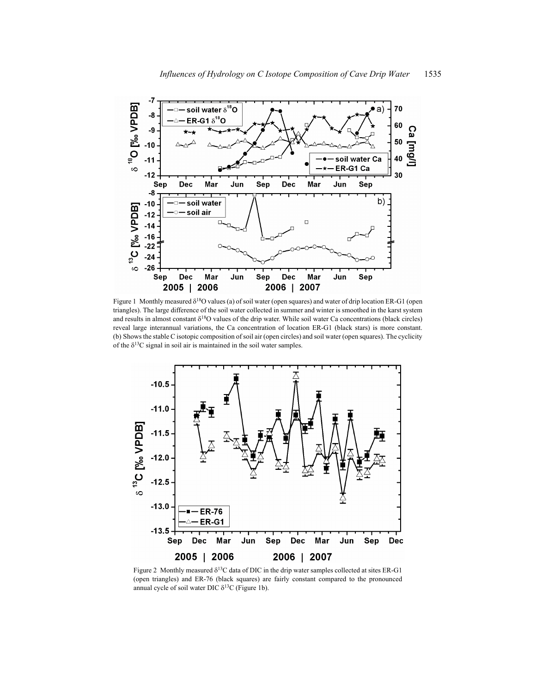

Figure 1 Monthly measured  $\delta^{18}O$  values (a) of soil water (open squares) and water of drip location ER-G1 (open triangles). The large difference of the soil water collected in summer and winter is smoothed in the karst system and results in almost constant  $\delta^{18}O$  values of the drip water. While soil water Ca concentrations (black circles) reveal large interannual variations, the Ca concentration of location ER-G1 (black stars) is more constant. (b) Shows the stable C isotopic composition of soil air (open circles) and soil water (open squares). The cyclicity of the  $\delta^{13}$ C signal in soil air is maintained in the soil water samples.



Figure 2 Monthly measured  $\delta^{13}C$  data of DIC in the drip water samples collected at sites ER-G1 (open triangles) and ER-76 (black squares) are fairly constant compared to the pronounced annual cycle of soil water DIC  $\delta^{13}$ C (Figure 1b).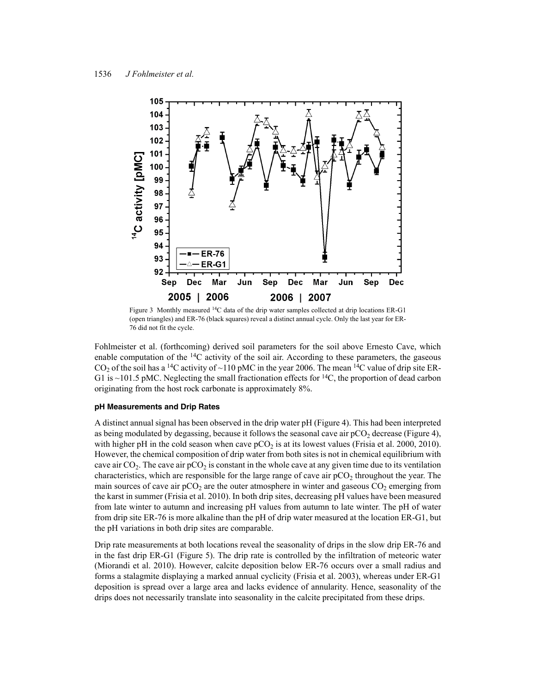

Figure 3 Monthly measured 14C data of the drip water samples collected at drip locations ER-G1 (open triangles) and ER-76 (black squares) reveal a distinct annual cycle. Only the last year for ER-76 did not fit the cycle.

Fohlmeister et al. (forthcoming) derived soil parameters for the soil above Ernesto Cave, which enable computation of the  $^{14}C$  activity of the soil air. According to these parameters, the gaseous  $CO<sub>2</sub>$  of the soil has a <sup>14</sup>C activity of ~110 pMC in the year 2006. The mean <sup>14</sup>C value of drip site ER-G1 is  $\sim$ 101.5 pMC. Neglecting the small fractionation effects for <sup>14</sup>C, the proportion of dead carbon originating from the host rock carbonate is approximately 8%.

#### **pH Measurements and Drip Rates**

A distinct annual signal has been observed in the drip water pH (Figure 4). This had been interpreted as being modulated by degassing, because it follows the seasonal cave air  $pCO<sub>2</sub>$  decrease (Figure 4), with higher pH in the cold season when cave  $pCO<sub>2</sub>$  is at its lowest values (Frisia et al. 2000, 2010). However, the chemical composition of drip water from both sites is not in chemical equilibrium with cave air  $CO<sub>2</sub>$ . The cave air  $pCO<sub>2</sub>$  is constant in the whole cave at any given time due to its ventilation characteristics, which are responsible for the large range of cave air  $pCO<sub>2</sub>$  throughout the year. The main sources of cave air  $pCO_2$  are the outer atmosphere in winter and gaseous  $CO_2$  emerging from the karst in summer (Frisia et al. 2010). In both drip sites, decreasing pH values have been measured from late winter to autumn and increasing pH values from autumn to late winter. The pH of water from drip site ER-76 is more alkaline than the pH of drip water measured at the location ER-G1, but the pH variations in both drip sites are comparable.

Drip rate measurements at both locations reveal the seasonality of drips in the slow drip ER-76 and in the fast drip ER-G1 (Figure 5). The drip rate is controlled by the infiltration of meteoric water (Miorandi et al. 2010). However, calcite deposition below ER-76 occurs over a small radius and forms a stalagmite displaying a marked annual cyclicity (Frisia et al. 2003), whereas under ER-G1 deposition is spread over a large area and lacks evidence of annularity. Hence, seasonality of the drips does not necessarily translate into seasonality in the calcite precipitated from these drips.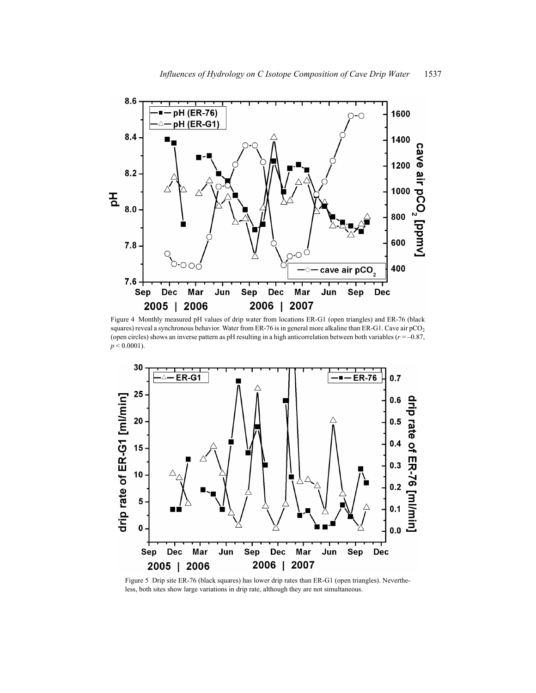

Figure 4 Monthly measured pH values of drip water from locations ER-G1 (open triangles) and ER-76 (black squares) reveal a synchronous behavior. Water from ER-76 is in general more alkaline than ER-G1. Cave air pCO<sub>2</sub> (open circles) shows an inverse pattern as pH resulting in a high anticorrelation between both variables (*r* = –0.87,  $p < 0.0001$ ).



Figure 5 Drip site ER-76 (black squares) has lower drip rates than ER-G1 (open triangles). Nevertheless, both sites show large variations in drip rate, although they are not simultaneous.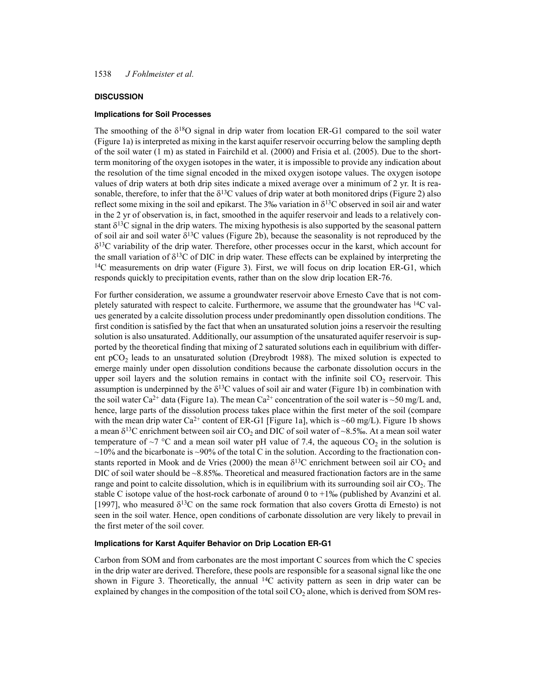#### **DISCUSSION**

### **Implications for Soil Processes**

The smoothing of the  $\delta^{18}O$  signal in drip water from location ER-G1 compared to the soil water (Figure 1a) is interpreted as mixing in the karst aquifer reservoir occurring below the sampling depth of the soil water (1 m) as stated in Fairchild et al. (2000) and Frisia et al. (2005). Due to the shortterm monitoring of the oxygen isotopes in the water, it is impossible to provide any indication about the resolution of the time signal encoded in the mixed oxygen isotope values. The oxygen isotope values of drip waters at both drip sites indicate a mixed average over a minimum of 2 yr. It is reasonable, therefore, to infer that the  $\delta^{13}$ C values of drip water at both monitored drips (Figure 2) also reflect some mixing in the soil and epikarst. The 3‰ variation in  $\delta^{13}$ C observed in soil air and water in the 2 yr of observation is, in fact, smoothed in the aquifer reservoir and leads to a relatively constant  $\delta^{13}$ C signal in the drip waters. The mixing hypothesis is also supported by the seasonal pattern of soil air and soil water  $\delta^{13}C$  values (Figure 2b), because the seasonality is not reproduced by the  $\delta^{13}$ C variability of the drip water. Therefore, other processes occur in the karst, which account for the small variation of  $\delta^{13}C$  of DIC in drip water. These effects can be explained by interpreting the <sup>14</sup>C measurements on drip water (Figure 3). First, we will focus on drip location ER-G1, which responds quickly to precipitation events, rather than on the slow drip location ER-76.

For further consideration, we assume a groundwater reservoir above Ernesto Cave that is not completely saturated with respect to calcite. Furthermore, we assume that the groundwater has 14C values generated by a calcite dissolution process under predominantly open dissolution conditions. The first condition is satisfied by the fact that when an unsaturated solution joins a reservoir the resulting solution is also unsaturated. Additionally, our assumption of the unsaturated aquifer reservoir is supported by the theoretical finding that mixing of 2 saturated solutions each in equilibrium with different  $pCO<sub>2</sub>$  leads to an unsaturated solution (Dreybrodt 1988). The mixed solution is expected to emerge mainly under open dissolution conditions because the carbonate dissolution occurs in the upper soil layers and the solution remains in contact with the infinite soil  $CO<sub>2</sub>$  reservoir. This assumption is underpinned by the  $\delta^{13}$ C values of soil air and water (Figure 1b) in combination with the soil water Ca<sup>2+</sup> data (Figure 1a). The mean Ca<sup>2+</sup> concentration of the soil water is ~50 mg/L and, hence, large parts of the dissolution process takes place within the first meter of the soil (compare with the mean drip water Ca<sup>2+</sup> content of ER-G1 [Figure 1a], which is ~60 mg/L). Figure 1b shows a mean  $\delta^{13}$ C enrichment between soil air CO<sub>2</sub> and DIC of soil water of ~8.5‰. At a mean soil water temperature of  $\sim$ 7 °C and a mean soil water pH value of 7.4, the aqueous CO<sub>2</sub> in the solution is  $\sim$ 10% and the bicarbonate is  $\sim$ 90% of the total C in the solution. According to the fractionation constants reported in Mook and de Vries (2000) the mean  $\delta^{13}$ C enrichment between soil air CO<sub>2</sub> and DIC of soil water should be  $\sim 8.85\%$ . Theoretical and measured fractionation factors are in the same range and point to calcite dissolution, which is in equilibrium with its surrounding soil air  $CO<sub>2</sub>$ . The stable C isotope value of the host-rock carbonate of around 0 to  $+1\%$  (published by Avanzini et al. [1997], who measured  $\delta^{13}$ C on the same rock formation that also covers Grotta di Ernesto) is not seen in the soil water. Hence, open conditions of carbonate dissolution are very likely to prevail in the first meter of the soil cover.

#### **Implications for Karst Aquifer Behavior on Drip Location ER-G1**

Carbon from SOM and from carbonates are the most important C sources from which the C species in the drip water are derived. Therefore, these pools are responsible for a seasonal signal like the one shown in Figure 3. Theoretically, the annual  ${}^{14}C$  activity pattern as seen in drip water can be explained by changes in the composition of the total soil  $CO<sub>2</sub>$  alone, which is derived from SOM res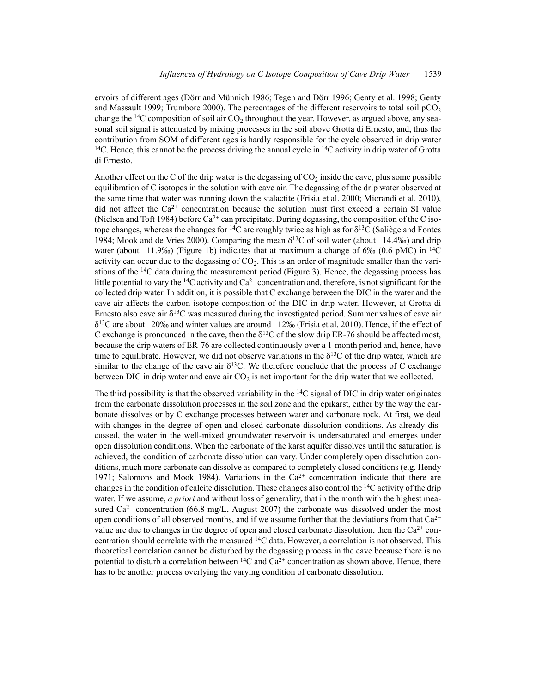ervoirs of different ages (Dörr and Münnich 1986; Tegen and Dörr 1996; Genty et al. 1998; Genty and Massault 1999; Trumbore 2000). The percentages of the different reservoirs to total soil  $pCO<sub>2</sub>$ change the <sup>14</sup>C composition of soil air  $CO<sub>2</sub>$  throughout the year. However, as argued above, any seasonal soil signal is attenuated by mixing processes in the soil above Grotta di Ernesto, and, thus the contribution from SOM of different ages is hardly responsible for the cycle observed in drip water <sup>14</sup>C. Hence, this cannot be the process driving the annual cycle in <sup>14</sup>C activity in drip water of Grotta di Ernesto.

Another effect on the C of the drip water is the degassing of  $CO<sub>2</sub>$  inside the cave, plus some possible equilibration of C isotopes in the solution with cave air. The degassing of the drip water observed at the same time that water was running down the stalactite (Frisia et al. 2000; Miorandi et al. 2010), did not affect the  $Ca^{2+}$  concentration because the solution must first exceed a certain SI value (Nielsen and Toft 1984) before  $Ca^{2+}$  can precipitate. During degassing, the composition of the C isotope changes, whereas the changes for <sup>14</sup>C are roughly twice as high as for  $\delta^{13}C$  (Saliège and Fontes 1984; Mook and de Vries 2000). Comparing the mean  $\delta^{13}$ C of soil water (about –14.4‰) and drip water (about –11.9‰) (Figure 1b) indicates that at maximum a change of 6‰ (0.6 pMC) in <sup>14</sup>C activity can occur due to the degassing of  $CO<sub>2</sub>$ . This is an order of magnitude smaller than the variations of the 14C data during the measurement period (Figure 3). Hence, the degassing process has little potential to vary the <sup>14</sup>C activity and  $Ca^{2+}$  concentration and, therefore, is not significant for the collected drip water. In addition, it is possible that C exchange between the DIC in the water and the cave air affects the carbon isotope composition of the DIC in drip water. However, at Grotta di Ernesto also cave air  $\delta^{13}$ C was measured during the investigated period. Summer values of cave air  $\delta^{13}$ C are about –20‰ and winter values are around –12‰ (Frisia et al. 2010). Hence, if the effect of C exchange is pronounced in the cave, then the  $\delta^{13}$ C of the slow drip ER-76 should be affected most, because the drip waters of ER-76 are collected continuously over a 1-month period and, hence, have time to equilibrate. However, we did not observe variations in the  $\delta^{13}$ C of the drip water, which are similar to the change of the cave air  $\delta^{13}$ C. We therefore conclude that the process of C exchange between DIC in drip water and cave air  $CO<sub>2</sub>$  is not important for the drip water that we collected.

The third possibility is that the observed variability in the  $14C$  signal of DIC in drip water originates from the carbonate dissolution processes in the soil zone and the epikarst, either by the way the carbonate dissolves or by C exchange processes between water and carbonate rock. At first, we deal with changes in the degree of open and closed carbonate dissolution conditions. As already discussed, the water in the well-mixed groundwater reservoir is undersaturated and emerges under open dissolution conditions. When the carbonate of the karst aquifer dissolves until the saturation is achieved, the condition of carbonate dissolution can vary. Under completely open dissolution conditions, much more carbonate can dissolve as compared to completely closed conditions (e.g. Hendy 1971; Salomons and Mook 1984). Variations in the  $Ca^{2+}$  concentration indicate that there are changes in the condition of calcite dissolution. These changes also control the 14C activity of the drip water. If we assume, *a priori* and without loss of generality, that in the month with the highest measured  $Ca^{2+}$  concentration (66.8 mg/L, August 2007) the carbonate was dissolved under the most open conditions of all observed months, and if we assume further that the deviations from that  $Ca^{2+}$ value are due to changes in the degree of open and closed carbonate dissolution, then the  $Ca^{2+}$  concentration should correlate with the measured  $^{14}C$  data. However, a correlation is not observed. This theoretical correlation cannot be disturbed by the degassing process in the cave because there is no potential to disturb a correlation between  ${}^{14}C$  and  $Ca^{2+}$  concentration as shown above. Hence, there has to be another process overlying the varying condition of carbonate dissolution.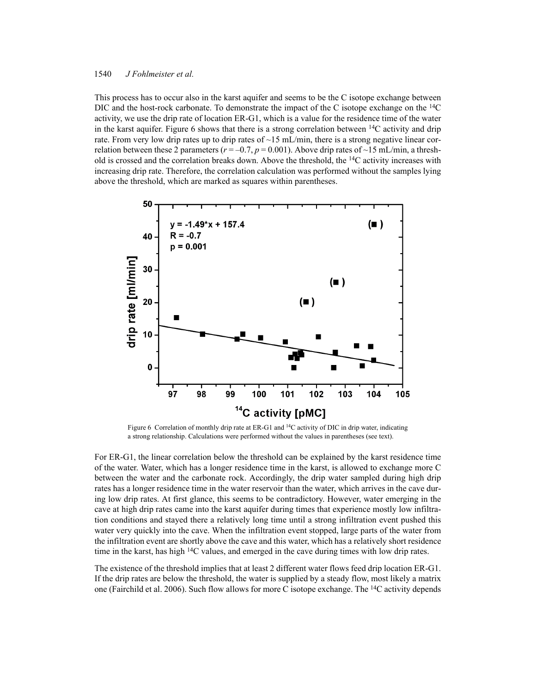This process has to occur also in the karst aquifer and seems to be the C isotope exchange between DIC and the host-rock carbonate. To demonstrate the impact of the C isotope exchange on the <sup>14</sup>C activity, we use the drip rate of location ER-G1, which is a value for the residence time of the water in the karst aquifer. Figure 6 shows that there is a strong correlation between 14C activity and drip rate. From very low drip rates up to drip rates of  $\sim$ 15 mL/min, there is a strong negative linear correlation between these 2 parameters ( $r = -0.7$ ,  $p = 0.001$ ). Above drip rates of ~15 mL/min, a threshold is crossed and the correlation breaks down. Above the threshold, the  $^{14}$ C activity increases with increasing drip rate. Therefore, the correlation calculation was performed without the samples lying above the threshold, which are marked as squares within parentheses.



Figure 6 Correlation of monthly drip rate at ER-G1 and <sup>14</sup>C activity of DIC in drip water, indicating a strong relationship. Calculations were performed without the values in parentheses (see text).

For ER-G1, the linear correlation below the threshold can be explained by the karst residence time of the water. Water, which has a longer residence time in the karst, is allowed to exchange more C between the water and the carbonate rock. Accordingly, the drip water sampled during high drip rates has a longer residence time in the water reservoir than the water, which arrives in the cave during low drip rates. At first glance, this seems to be contradictory. However, water emerging in the cave at high drip rates came into the karst aquifer during times that experience mostly low infiltration conditions and stayed there a relatively long time until a strong infiltration event pushed this water very quickly into the cave. When the infiltration event stopped, large parts of the water from the infiltration event are shortly above the cave and this water, which has a relatively short residence time in the karst, has high 14C values, and emerged in the cave during times with low drip rates.

The existence of the threshold implies that at least 2 different water flows feed drip location ER-G1. If the drip rates are below the threshold, the water is supplied by a steady flow, most likely a matrix one (Fairchild et al. 2006). Such flow allows for more C isotope exchange. The <sup>14</sup>C activity depends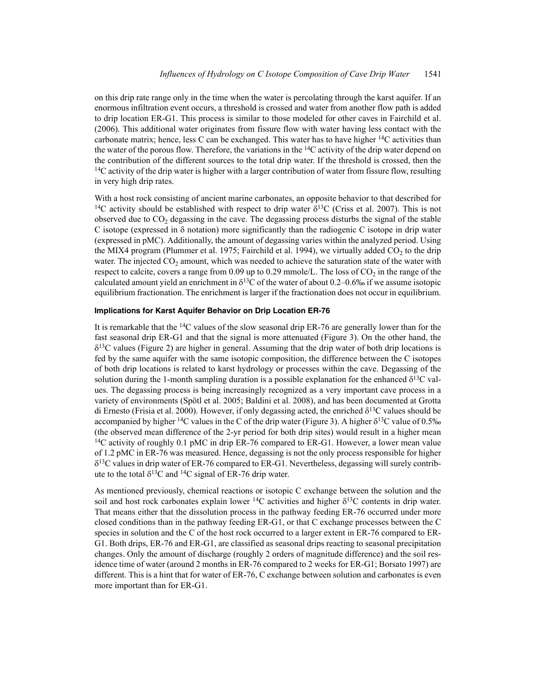on this drip rate range only in the time when the water is percolating through the karst aquifer. If an enormous infiltration event occurs, a threshold is crossed and water from another flow path is added to drip location ER-G1. This process is similar to those modeled for other caves in Fairchild et al. (2006). This additional water originates from fissure flow with water having less contact with the carbonate matrix; hence, less C can be exchanged. This water has to have higher 14C activities than the water of the porous flow. Therefore, the variations in the  $^{14}C$  activity of the drip water depend on the contribution of the different sources to the total drip water. If the threshold is crossed, then the  $14C$  activity of the drip water is higher with a larger contribution of water from fissure flow, resulting in very high drip rates.

With a host rock consisting of ancient marine carbonates, an opposite behavior to that described for <sup>14</sup>C activity should be established with respect to drip water  $\delta^{13}$ C (Criss et al. 2007). This is not observed due to  $CO<sub>2</sub>$  degassing in the cave. The degassing process disturbs the signal of the stable C isotope (expressed in  $\delta$  notation) more significantly than the radiogenic C isotope in drip water (expressed in pMC). Additionally, the amount of degassing varies within the analyzed period. Using the MIX4 program (Plummer et al. 1975; Fairchild et al. 1994), we virtually added  $CO<sub>2</sub>$  to the drip water. The injected  $CO<sub>2</sub>$  amount, which was needed to achieve the saturation state of the water with respect to calcite, covers a range from  $0.09$  up to  $0.29$  mmole/L. The loss of  $CO<sub>2</sub>$  in the range of the calculated amount yield an enrichment in  $\delta^{13}$ C of the water of about 0.2–0.6‰ if we assume isotopic equilibrium fractionation. The enrichment is larger if the fractionation does not occur in equilibrium.

## **Implications for Karst Aquifer Behavior on Drip Location ER-76**

It is remarkable that the 14C values of the slow seasonal drip ER-76 are generally lower than for the fast seasonal drip ER-G1 and that the signal is more attenuated (Figure 3). On the other hand, the  $\delta^{13}$ C values (Figure 2) are higher in general. Assuming that the drip water of both drip locations is fed by the same aquifer with the same isotopic composition, the difference between the C isotopes of both drip locations is related to karst hydrology or processes within the cave. Degassing of the solution during the 1-month sampling duration is a possible explanation for the enhanced  $\delta^{13}C$  values. The degassing process is being increasingly recognized as a very important cave process in a variety of environments (Spötl et al. 2005; Baldini et al. 2008), and has been documented at Grotta di Ernesto (Frisia et al. 2000). However, if only degassing acted, the enriched  $\delta^{13}$ C values should be accompanied by higher <sup>14</sup>C values in the C of the drip water (Figure 3). A higher  $\delta^{13}$ C value of 0.5‰ (the observed mean difference of the 2-yr period for both drip sites) would result in a higher mean  $14C$  activity of roughly 0.1 pMC in drip ER-76 compared to ER-G1. However, a lower mean value of 1.2 pMC in ER-76 was measured. Hence, degassing is not the only process responsible for higher  $\delta^{13}$ C values in drip water of ER-76 compared to ER-G1. Nevertheless, degassing will surely contribute to the total  $\delta^{13}$ C and <sup>14</sup>C signal of ER-76 drip water.

As mentioned previously, chemical reactions or isotopic C exchange between the solution and the soil and host rock carbonates explain lower  $14C$  activities and higher  $\delta^{13}C$  contents in drip water. That means either that the dissolution process in the pathway feeding ER-76 occurred under more closed conditions than in the pathway feeding ER-G1, or that C exchange processes between the C species in solution and the C of the host rock occurred to a larger extent in ER-76 compared to ER-G1. Both drips, ER-76 and ER-G1, are classified as seasonal drips reacting to seasonal precipitation changes. Only the amount of discharge (roughly 2 orders of magnitude difference) and the soil residence time of water (around 2 months in ER-76 compared to 2 weeks for ER-G1; Borsato 1997) are different. This is a hint that for water of ER-76, C exchange between solution and carbonates is even more important than for ER-G1.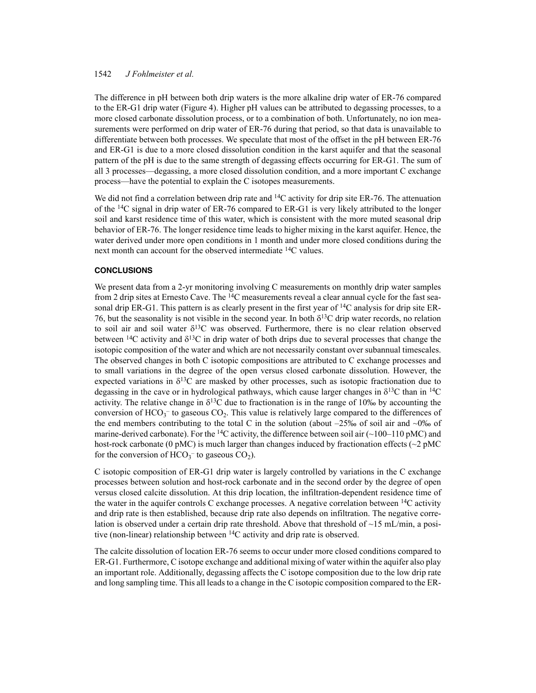The difference in pH between both drip waters is the more alkaline drip water of ER-76 compared to the ER-G1 drip water (Figure 4). Higher pH values can be attributed to degassing processes, to a more closed carbonate dissolution process, or to a combination of both. Unfortunately, no ion measurements were performed on drip water of ER-76 during that period, so that data is unavailable to differentiate between both processes. We speculate that most of the offset in the pH between ER-76 and ER-G1 is due to a more closed dissolution condition in the karst aquifer and that the seasonal pattern of the pH is due to the same strength of degassing effects occurring for ER-G1. The sum of all 3 processes—degassing, a more closed dissolution condition, and a more important C exchange process—have the potential to explain the C isotopes measurements.

We did not find a correlation between drip rate and  $14C$  activity for drip site ER-76. The attenuation of the <sup>14</sup>C signal in drip water of ER-76 compared to ER-G1 is very likely attributed to the longer soil and karst residence time of this water, which is consistent with the more muted seasonal drip behavior of ER-76. The longer residence time leads to higher mixing in the karst aquifer. Hence, the water derived under more open conditions in 1 month and under more closed conditions during the next month can account for the observed intermediate 14C values.

### **CONCLUSIONS**

We present data from a 2-yr monitoring involving C measurements on monthly drip water samples from 2 drip sites at Ernesto Cave. The  $14C$  measurements reveal a clear annual cycle for the fast seasonal drip ER-G1. This pattern is as clearly present in the first year of  $14C$  analysis for drip site ER-76, but the seasonality is not visible in the second year. In both  $\delta^{13}$ C drip water records, no relation to soil air and soil water  $\delta^{13}C$  was observed. Furthermore, there is no clear relation observed between <sup>14</sup>C activity and  $\delta^{13}$ C in drip water of both drips due to several processes that change the isotopic composition of the water and which are not necessarily constant over subannual timescales. The observed changes in both C isotopic compositions are attributed to C exchange processes and to small variations in the degree of the open versus closed carbonate dissolution. However, the expected variations in  $\delta^{13}C$  are masked by other processes, such as isotopic fractionation due to degassing in the cave or in hydrological pathways, which cause larger changes in  $\delta^{13}C$  than in <sup>14</sup>C activity. The relative change in  $\delta^{13}C$  due to fractionation is in the range of 10‰ by accounting the conversion of  $HCO_3^-$  to gaseous  $CO_2$ . This value is relatively large compared to the differences of the end members contributing to the total C in the solution (about  $-25\%$  of soil air and  $\sim 0\%$  of marine-derived carbonate). For the <sup>14</sup>C activity, the difference between soil air ( $\sim$ 100–110 pMC) and host-rock carbonate (0 pMC) is much larger than changes induced by fractionation effects ( $\sim$ 2 pMC) for the conversion of  $HCO_3^-$  to gaseous  $CO_2$ ).

C isotopic composition of ER-G1 drip water is largely controlled by variations in the C exchange processes between solution and host-rock carbonate and in the second order by the degree of open versus closed calcite dissolution. At this drip location, the infiltration-dependent residence time of the water in the aquifer controls C exchange processes. A negative correlation between  $^{14}C$  activity and drip rate is then established, because drip rate also depends on infiltration. The negative correlation is observed under a certain drip rate threshold. Above that threshold of  $\sim$ 15 mL/min, a positive (non-linear) relationship between 14C activity and drip rate is observed.

The calcite dissolution of location ER-76 seems to occur under more closed conditions compared to ER-G1. Furthermore, C isotope exchange and additional mixing of water within the aquifer also play an important role. Additionally, degassing affects the C isotope composition due to the low drip rate and long sampling time. This all leads to a change in the C isotopic composition compared to the ER-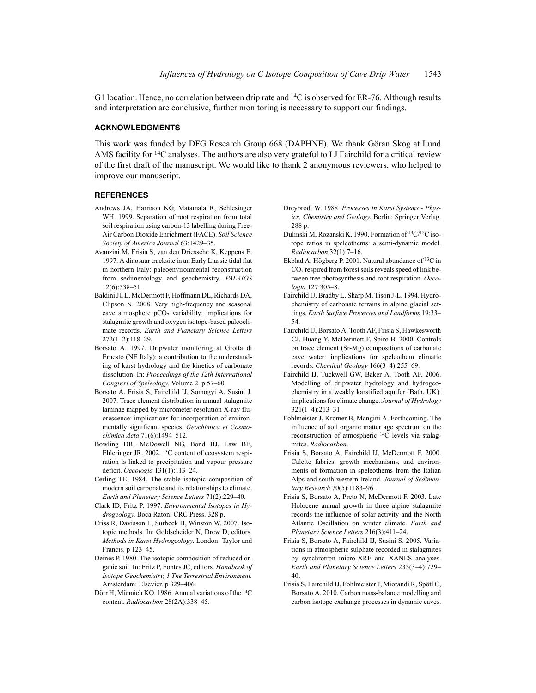G1 location. Hence, no correlation between drip rate and  $^{14}C$  is observed for ER-76. Although results and interpretation are conclusive, further monitoring is necessary to support our findings.

#### **ACKNOWLEDGMENTS**

This work was funded by DFG Research Group 668 (DAPHNE). We thank Göran Skog at Lund AMS facility for <sup>14</sup>C analyses. The authors are also very grateful to I J Fairchild for a critical review of the first draft of the manuscript. We would like to thank 2 anonymous reviewers, who helped to improve our manuscript.

#### **REFERENCES**

- Andrews JA, Harrison KG, Matamala R, Schlesinger WH. 1999. Separation of root respiration from total soil respiration using carbon-13 labelling during Free-Air Carbon Dioxide Enrichment (FACE). *Soil Science Society of America Journal* 63:1429–35.
- Avanzini M, Frisia S, van den Driessche K, Keppens E. 1997. A dinosaur tracksite in an Early Liassic tidal flat in northern Italy: paleoenvironmental reconstruction from sedimentology and geochemistry. *PALAIOS* 12(6):538–51.
- Baldini JUL, McDermott F, Hoffmann DL, Richards DA, Clipson N. 2008. Very high-frequency and seasonal cave atmosphere  $pCO<sub>2</sub>$  variability: implications for stalagmite growth and oxygen isotope-based paleoclimate records. *Earth and Planetary Science Letters* 272(1–2):118–29.
- Borsato A. 1997. Dripwater monitoring at Grotta di Ernesto (NE Italy): a contribution to the understanding of karst hydrology and the kinetics of carbonate dissolution. In: *Proceedings of the 12th International Congress of Speleology*. Volume 2. p 57–60.
- Borsato A, Frisia S, Fairchild IJ, Somogyi A, Susini J. 2007. Trace element distribution in annual stalagmite laminae mapped by micrometer-resolution X-ray fluorescence: implications for incorporation of environmentally significant species. *Geochimica et Cosmochimica Acta* 71(6):1494–512.
- Bowling DR, McDowell NG, Bond BJ, Law BE, Ehleringer JR. 2002. 13C content of ecosystem respiration is linked to precipitation and vapour pressure deficit. *Oecologia* 131(1):113–24.
- Cerling TE. 1984. The stable isotopic composition of modern soil carbonate and its relationships to climate. *Earth and Planetary Science Letters* 71(2):229–40.
- Clark ID, Fritz P. 1997. *Environmental Isotopes in Hydrogeology*. Boca Raton: CRC Press. 328 p.
- Criss R, Davisson L, Surbeck H, Winston W. 2007. Isotopic methods. In: Goldscheider N, Drew D, editors. *Methods in Karst Hydrogeology*. London: Taylor and Francis. p 123–45.
- Deines P. 1980. The isotopic composition of reduced organic soil. In: Fritz P, Fontes JC, editors. *Handbook of Isotope Geochemistry, 1 The Terrestrial Environment.* Amsterdam: Elsevier. p 329–406.
- Dörr H, Münnich KO. 1986. Annual variations of the 14C content. *Radiocarbon* 28(2A):338–45.
- Dreybrodt W. 1988. *Processes in Karst Systems Physics, Chemistry and Geology*. Berlin: Springer Verlag. 288 p.
- Dulinski M, Rozanski K. 1990. Formation of 13C/12C isotope ratios in speleothems: a semi-dynamic model. *Radiocarbon* 32(1):7–16.
- Ekblad A, Högberg P. 2001. Natural abundance of 13C in  $CO<sub>2</sub>$  respired from forest soils reveals speed of link between tree photosynthesis and root respiration. *Oecologia* 127:305–8.
- Fairchild IJ, Bradby L, Sharp M, Tison J-L. 1994. Hydrochemistry of carbonate terrains in alpine glacial settings. *Earth Surface Processes and Landforms* 19:33– 54.
- Fairchild IJ, Borsato A, Tooth AF, Frisia S, Hawkesworth CJ, Huang Y, McDermott F, Spiro B. 2000. Controls on trace element (Sr-Mg) compositions of carbonate cave water: implications for speleothem climatic records. *Chemical Geology* 166(3–4):255–69.
- Fairchild IJ, Tuckwell GW, Baker A, Tooth AF. 2006. Modelling of dripwater hydrology and hydrogeochemistry in a weakly karstified aquifer (Bath, UK): implications for climate change. *Journal of Hydrology* 321(1–4):213–31.
- Fohlmeister J, Kromer B, Mangini A. Forthcoming. The influence of soil organic matter age spectrum on the reconstruction of atmospheric 14C levels via stalagmites. *Radiocarbon*.
- Frisia S, Borsato A, Fairchild IJ, McDermott F. 2000. Calcite fabrics, growth mechanisms, and environments of formation in speleothems from the Italian Alps and south-western Ireland. *Journal of Sedimentary Research* 70(5):1183–96.
- Frisia S, Borsato A, Preto N, McDermott F. 2003. Late Holocene annual growth in three alpine stalagmite records the influence of solar activity and the North Atlantic Oscillation on winter climate. *Earth and Planetary Science Letters* 216(3):411–24.
- Frisia S, Borsato A, Fairchild IJ, Susini S. 2005. Variations in atmospheric sulphate recorded in stalagmites by synchrotron micro-XRF and XANES analyses. *Earth and Planetary Science Letters* 235(3–4):729– 40.
- Frisia S, Fairchild IJ, Fohlmeister J, Miorandi R, Spötl C, Borsato A. 2010. Carbon mass-balance modelling and carbon isotope exchange processes in dynamic caves.